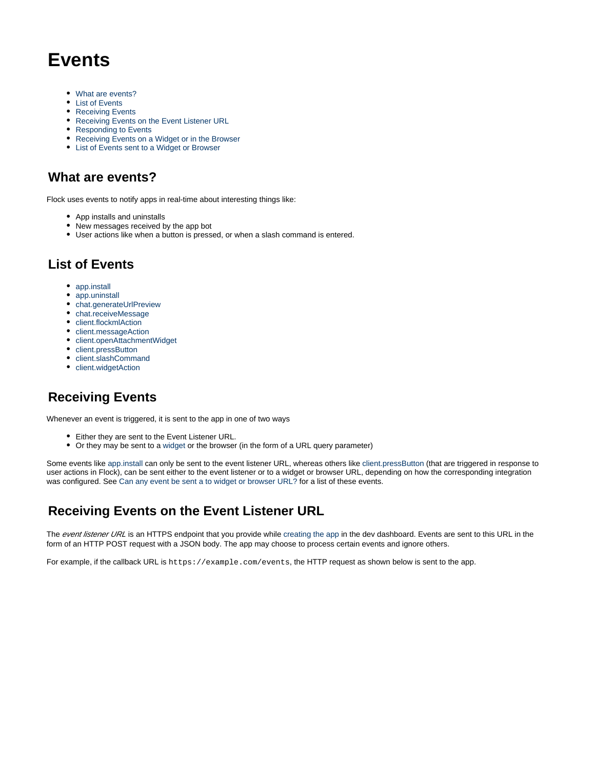# **Events**

- [What are events?](#page-0-0)
- [List of Events](#page-0-1)
- [Receiving Events](#page-0-2)
- [Receiving Events on the Event Listener URL](#page-0-3)
- [Responding to Events](#page-1-0)
- [Receiving Events on a Widget or in the Browser](#page-1-1)
- [List of Events sent to a Widget or Browser](#page-2-0)

## <span id="page-0-0"></span>**What are events?**

Flock uses events to notify apps in real-time about interesting things like:

- App installs and uninstalls
- New messages received by the app bot
- User actions like when a button is pressed, or when a slash command is entered.

# <span id="page-0-1"></span>**List of Events**

- [app.install](https://docs.flock.com/display/flockos/app.install)
- [app.uninstall](https://docs.flock.com/display/flockos/app.uninstall)
- [chat.generateUrlPreview](https://docs.flock.com/display/flockos/chat.generateUrlPreview)
- [chat.receiveMessage](https://docs.flock.com/display/flockos/chat.receiveMessage)
- [client.flockmlAction](https://docs.flock.com/display/flockos/client.flockmlAction) • [client.messageAction](https://docs.flock.com/display/flockos/client.messageAction)
- [client.openAttachmentWidget](https://docs.flock.com/display/flockos/client.openAttachmentWidget)
- [client.pressButton](https://docs.flock.com/display/flockos/client.pressButton)
- [client.slashCommand](https://docs.flock.com/display/flockos/client.slashCommand)
- [client.widgetAction](https://docs.flock.com/display/flockos/client.widgetAction)

# <span id="page-0-2"></span>**Receiving Events**

Whenever an event is triggered, it is sent to the app in one of two ways

- Either they are sent to the Event Listener URL.
- Or they may be sent to a [widget](https://docs.flock.com/display/flockos/Widgets) or the browser (in the form of a URL query parameter)

Some events like [app.install](https://docs.flock.com/display/flockos/app.install) can only be sent to the event listener URL, whereas others like [client.pressButton](https://docs.flock.com/display/flockos/client.pressButton) (that are triggered in response to user actions in Flock), can be sent either to the event listener or to a widget or browser URL, depending on how the corresponding integration was configured. See Can any event be sent a to widget or browser URL? for a list of these events.

# <span id="page-0-3"></span>**Receiving Events on the Event Listener URL**

The event listener URL is an HTTPS endpoint that you provide while [creating the app](https://docs.flock.com/display/flockos/Creating+an+App) in the dev dashboard. Events are sent to this URL in the form of an HTTP POST request with a JSON body. The app may choose to process certain events and ignore others.

For example, if the callback URL is https://example.com/events, the HTTP request as shown below is sent to the app.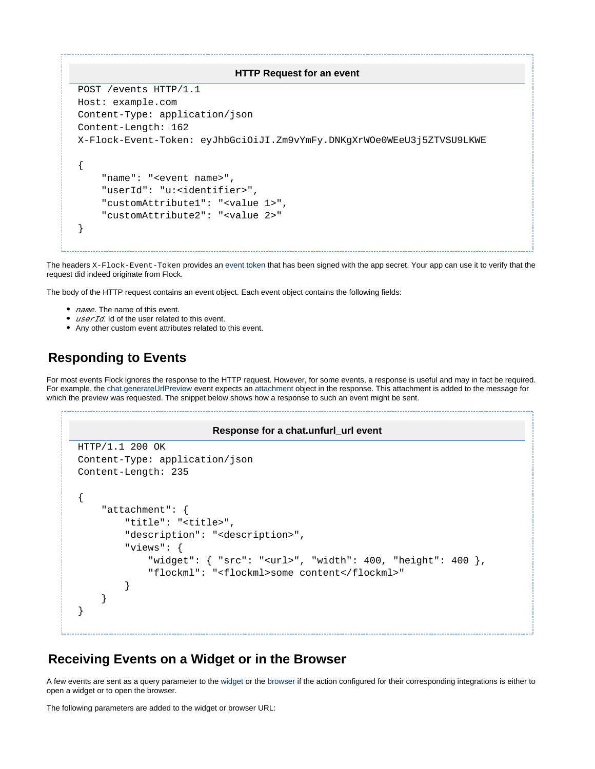#### **HTTP Request for an event**

```
POST /events HTTP/1.1
Host: example.com
Content-Type: application/json
Content-Length: 162
X-Flock-Event-Token: eyJhbGciOiJI.Zm9vYmFy.DNKgXrWOe0WEeU3j5ZTVSU9LKWE
{
     "name": "<event name>",
     "userId": "u:<identifier>",
     "customAttribute1": "<value 1>",
     "customAttribute2": "<value 2>"
}
```
The headers X-Flock-Event-Token provides an [event token](https://docs.flock.com/display/flockos/Event+Tokens) that has been signed with the app secret. Your app can use it to verify that the request did indeed originate from Flock.

The body of the HTTP request contains an event object. Each event object contains the following fields:

- *name*. The name of this event.
- $\bullet$  userId. Id of the user related to this event.
- Any other custom event attributes related to this event.

## <span id="page-1-0"></span>**Responding to Events**

For most events Flock ignores the response to the HTTP request. However, for some events, a response is useful and may in fact be required. For example, the [chat.generateUrlPreview](https://docs.flock.com/display/flockos/chat.generateUrlPreview) event expects an [attachment](https://docs.flock.com/display/flockos/Attachment) object in the response. This attachment is added to the message for which the preview was requested. The snippet below shows how a response to such an event might be sent.

#### **Response for a chat.unfurl\_url event**

```
HTTP/1.1 200 OK
Content-Type: application/json
Content-Length: 235
{
     "attachment": {
         "title": "<title>",
         "description": "<description>",
         "views": {
              "widget": { "src": "<url>", "width": 400, "height": 400 },
              "flockml": "<flockml>some content</flockml>"
         }
     }
}
```
### <span id="page-1-1"></span>**Receiving Events on a Widget or in the Browser**

A few events are sent as a query parameter to the [widget](https://docs.flock.com/display/flockos/Widgets) or the browser if the action configured for their corresponding integrations is either to open a widget or to open the browser.

The following parameters are added to the widget or browser URL: